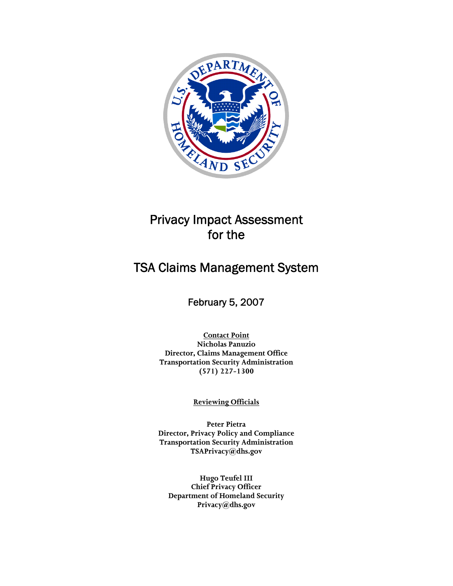

## Privacy Impact Assessment for the

# TSA Claims Management System

## February 5, 2007

**Contact Point Nicholas Panuzio Director, Claims Management Office Transportation Security Administration (571) 227-1300** 

**Reviewing Officials**

**Peter Pietra Director, Privacy Policy and Compliance Transportation Security Administration TSAPrivacy@dhs.gov** 

**Hugo Teufel III Chief Privacy Officer Department of Homeland Security Privacy@dhs.gov**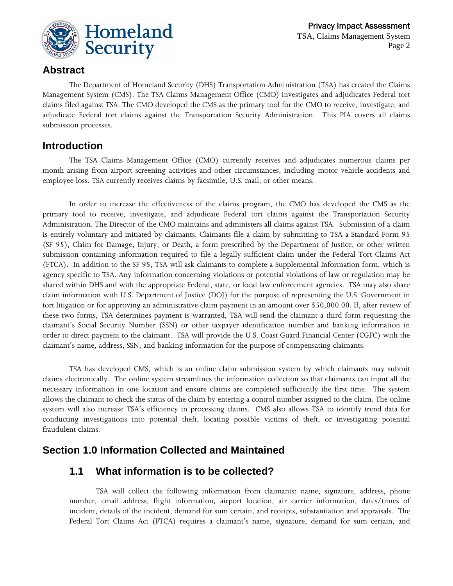

#### **Abstract**

The Department of Homeland Security (DHS) Transportation Administration (TSA) has created the Claims Management System (CMS). The TSA Claims Management Office (CMO) investigates and adjudicates Federal tort claims filed against TSA. The CMO developed the CMS as the primary tool for the CMO to receive, investigate, and adjudicate Federal tort claims against the Transportation Security Administration. This PIA covers all claims submission processes.

#### **Introduction**

The TSA Claims Management Office (CMO) currently receives and adjudicates numerous claims per month arising from airport screening activities and other circumstances, including motor vehicle accidents and employee loss. TSA currently receives claims by facsimile, U.S. mail, or other means.

In order to increase the effectiveness of the claims program, the CMO has developed the CMS as the primary tool to receive, investigate, and adjudicate Federal tort claims against the Transportation Security Administration. The Director of the CMO maintains and administers all claims against TSA. Submission of a claim is entirely voluntary and initiated by claimants. Claimants file a claim by submitting to TSA a Standard Form 95 (SF 95), Claim for Damage, Injury, or Death, a form prescribed by the Department of Justice, or other written submission containing information required to file a legally sufficient claim under the Federal Tort Claims Act (FTCA). In addition to the SF 95, TSA will ask claimants to complete a Supplemental Information form, which is agency specific to TSA. Any information concerning violations or potential violations of law or regulation may be shared within DHS and with the appropriate Federal, state, or local law enforcement agencies. TSA may also share claim information with U.S. Department of Justice (DOJ) for the purpose of representing the U.S. Government in tort litigation or for approving an administrative claim payment in an amount over \$50,000.00. If, after review of these two forms, TSA determines payment is warranted, TSA will send the claimant a third form requesting the claimant's Social Security Number (SSN) or other taxpayer identification number and banking information in order to direct payment to the claimant. TSA will provide the U.S. Coast Guard Financial Center (CGFC) with the claimant's name, address, SSN, and banking information for the purpose of compensating claimants.

TSA has developed CMS, which is an online claim submission system by which claimants may submit claims electronically. The online system streamlines the information collection so that claimants can input all the necessary information in one location and ensure claims are completed sufficiently the first time. The system allows the claimant to check the status of the claim by entering a control number assigned to the claim. The online system will also increase TSA's efficiency in processing claims. CMS also allows TSA to identify trend data for conducting investigations into potential theft, locating possible victims of theft, or investigating potential fraudulent claims.

#### **Section 1.0 Information Collected and Maintained**

#### **1.1 What information is to be collected?**

TSA will collect the following information from claimants: name, signature, address, phone number, email address, flight information, airport location, air carrier information, dates/times of incident, details of the incident, demand for sum certain, and receipts, substantiation and appraisals. The Federal Tort Claims Act (FTCA) requires a claimant's name, signature, demand for sum certain, and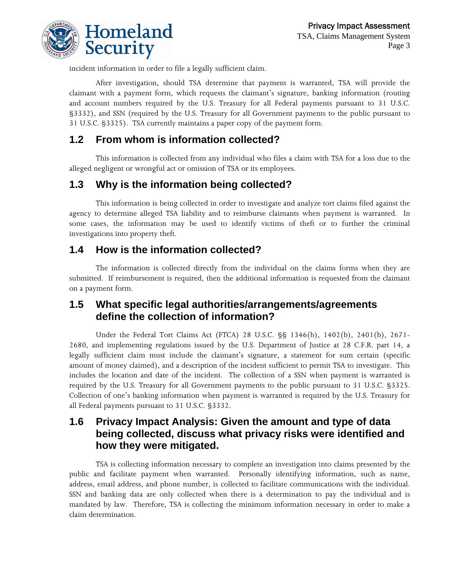

incident information in order to file a legally sufficient claim.

After investigation, should TSA determine that payment is warranted, TSA will provide the claimant with a payment form, which requests the claimant's signature, banking information (routing and account numbers required by the U.S. Treasury for all Federal payments pursuant to 31 U.S.C. §3332), and SSN (required by the U.S. Treasury for all Government payments to the public pursuant to 31 U.S.C. §3325). TSA currently maintains a paper copy of the payment form.

## **1.2 From whom is information collected?**

This information is collected from any individual who files a claim with TSA for a loss due to the alleged negligent or wrongful act or omission of TSA or its employees.

## **1.3 Why is the information being collected?**

This information is being collected in order to investigate and analyze tort claims filed against the agency to determine alleged TSA liability and to reimburse claimants when payment is warranted. In some cases, the information may be used to identify victims of theft or to further the criminal investigations into property theft.

#### **1.4 How is the information collected?**

The information is collected directly from the individual on the claims forms when they are submitted. If reimbursement is required, then the additional information is requested from the claimant on a payment form.

#### **1.5 What specific legal authorities/arrangements/agreements define the collection of information?**

Under the Federal Tort Claims Act (FTCA) 28 U.S.C. §§ 1346(b), 1402(b), 2401(b), 2671- 2680, and implementing regulations issued by the U.S. Department of Justice at 28 C.F.R. part 14, a legally sufficient claim must include the claimant's signature, a statement for sum certain (specific amount of money claimed), and a description of the incident sufficient to permit TSA to investigate. This includes the location and date of the incident. The collection of a SSN when payment is warranted is required by the U.S. Treasury for all Government payments to the public pursuant to 31 U.S.C. §3325. Collection of one's banking information when payment is warranted is required by the U.S. Treasury for all Federal payments pursuant to 31 U.S.C. §3332.

#### **1.6 Privacy Impact Analysis: Given the amount and type of data being collected, discuss what privacy risks were identified and how they were mitigated.**

TSA is collecting information necessary to complete an investigation into claims presented by the public and facilitate payment when warranted. Personally identifying information, such as name, address, email address, and phone number, is collected to facilitate communications with the individual. SSN and banking data are only collected when there is a determination to pay the individual and is mandated by law. Therefore, TSA is collecting the minimum information necessary in order to make a claim determination.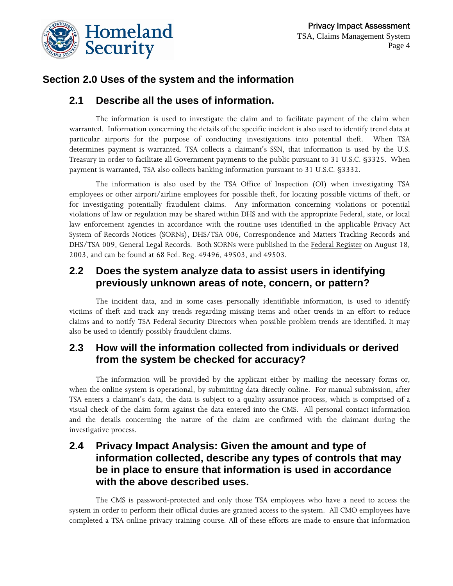

## **Section 2.0 Uses of the system and the information**

#### **2.1 Describe all the uses of information.**

The information is used to investigate the claim and to facilitate payment of the claim when warranted. Information concerning the details of the specific incident is also used to identify trend data at particular airports for the purpose of conducting investigations into potential theft. When TSA determines payment is warranted. TSA collects a claimant's SSN, that information is used by the U.S. Treasury in order to facilitate all Government payments to the public pursuant to 31 U.S.C. §3325. When payment is warranted, TSA also collects banking information pursuant to 31 U.S.C. §3332.

The information is also used by the TSA Office of Inspection (OI) when investigating TSA employees or other airport/airline employees for possible theft, for locating possible victims of theft, or for investigating potentially fraudulent claims. Any information concerning violations or potential violations of law or regulation may be shared within DHS and with the appropriate Federal, state, or local law enforcement agencies in accordance with the routine uses identified in the applicable Privacy Act System of Records Notices (SORNs), DHS/TSA 006, Correspondence and Matters Tracking Records and DHS/TSA 009, General Legal Records. Both SORNs were published in the Federal Register on August 18, 2003, and can be found at 68 Fed. Reg. 49496, 49503, and 49503.

#### **2.2 Does the system analyze data to assist users in identifying previously unknown areas of note, concern, or pattern?**

The incident data, and in some cases personally identifiable information, is used to identify victims of theft and track any trends regarding missing items and other trends in an effort to reduce claims and to notify TSA Federal Security Directors when possible problem trends are identified. It may also be used to identify possibly fraudulent claims.

#### **2.3 How will the information collected from individuals or derived from the system be checked for accuracy?**

The information will be provided by the applicant either by mailing the necessary forms or, when the online system is operational, by submitting data directly online. For manual submission, after TSA enters a claimant's data, the data is subject to a quality assurance process, which is comprised of a visual check of the claim form against the data entered into the CMS. All personal contact information and the details concerning the nature of the claim are confirmed with the claimant during the investigative process.

#### **2.4 Privacy Impact Analysis: Given the amount and type of information collected, describe any types of controls that may be in place to ensure that information is used in accordance with the above described uses.**

The CMS is password-protected and only those TSA employees who have a need to access the system in order to perform their official duties are granted access to the system. All CMO employees have completed a TSA online privacy training course. All of these efforts are made to ensure that information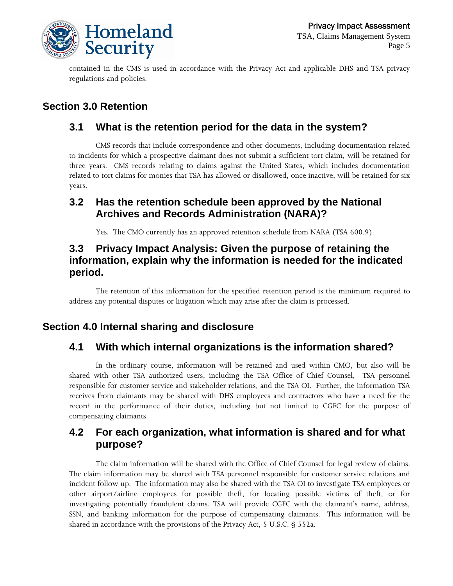

contained in the CMS is used in accordance with the Privacy Act and applicable DHS and TSA privacy regulations and policies.

## **Section 3.0 Retention**

#### **3.1 What is the retention period for the data in the system?**

CMS records that include correspondence and other documents, including documentation related to incidents for which a prospective claimant does not submit a sufficient tort claim, will be retained for three years. CMS records relating to claims against the United States, which includes documentation related to tort claims for monies that TSA has allowed or disallowed, once inactive, will be retained for six years.

## **3.2 Has the retention schedule been approved by the National Archives and Records Administration (NARA)?**

Yes. The CMO currently has an approved retention schedule from NARA (TSA 600.9).

#### **3.3 Privacy Impact Analysis: Given the purpose of retaining the information, explain why the information is needed for the indicated period.**

The retention of this information for the specified retention period is the minimum required to address any potential disputes or litigation which may arise after the claim is processed.

#### **Section 4.0 Internal sharing and disclosure**

## **4.1 With which internal organizations is the information shared?**

In the ordinary course, information will be retained and used within CMO, but also will be shared with other TSA authorized users, including the TSA Office of Chief Counsel, TSA personnel responsible for customer service and stakeholder relations, and the TSA OI. Further, the information TSA receives from claimants may be shared with DHS employees and contractors who have a need for the record in the performance of their duties, including but not limited to CGFC for the purpose of compensating claimants.

#### **4.2 For each organization, what information is shared and for what purpose?**

The claim information will be shared with the Office of Chief Counsel for legal review of claims. The claim information may be shared with TSA personnel responsible for customer service relations and incident follow up. The information may also be shared with the TSA OI to investigate TSA employees or other airport/airline employees for possible theft, for locating possible victims of theft, or for investigating potentially fraudulent claims. TSA will provide CGFC with the claimant's name, address, SSN, and banking information for the purpose of compensating claimants. This information will be shared in accordance with the provisions of the Privacy Act, 5 U.S.C. § 552a.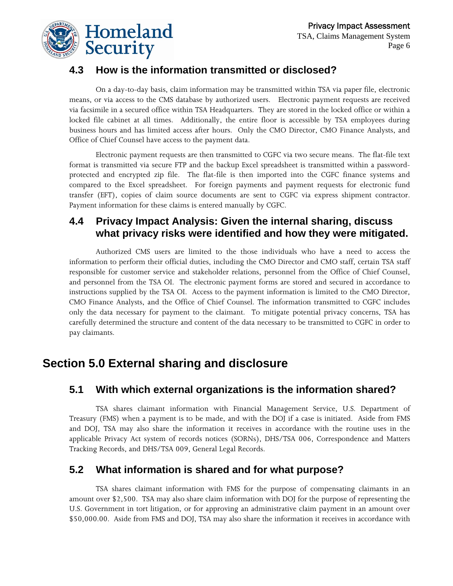

## **4.3 How is the information transmitted or disclosed?**

On a day-to-day basis, claim information may be transmitted within TSA via paper file, electronic means, or via access to the CMS database by authorized users. Electronic payment requests are received via facsimile in a secured office within TSA Headquarters. They are stored in the locked office or within a locked file cabinet at all times. Additionally, the entire floor is accessible by TSA employees during business hours and has limited access after hours. Only the CMO Director, CMO Finance Analysts, and Office of Chief Counsel have access to the payment data.

Electronic payment requests are then transmitted to CGFC via two secure means. The flat-file text format is transmitted via secure FTP and the backup Excel spreadsheet is transmitted within a passwordprotected and encrypted zip file. The flat-file is then imported into the CGFC finance systems and compared to the Excel spreadsheet. For foreign payments and payment requests for electronic fund transfer (EFT), copies of claim source documents are sent to CGFC via express shipment contractor. Payment information for these claims is entered manually by CGFC.

## **4.4 Privacy Impact Analysis: Given the internal sharing, discuss what privacy risks were identified and how they were mitigated.**

Authorized CMS users are limited to the those individuals who have a need to access the information to perform their official duties, including the CMO Director and CMO staff, certain TSA staff responsible for customer service and stakeholder relations, personnel from the Office of Chief Counsel, and personnel from the TSA OI. The electronic payment forms are stored and secured in accordance to instructions supplied by the TSA OI. Access to the payment information is limited to the CMO Director, CMO Finance Analysts, and the Office of Chief Counsel. The information transmitted to CGFC includes only the data necessary for payment to the claimant. To mitigate potential privacy concerns, TSA has carefully determined the structure and content of the data necessary to be transmitted to CGFC in order to pay claimants.

## **Section 5.0 External sharing and disclosure**

#### **5.1 With which external organizations is the information shared?**

TSA shares claimant information with Financial Management Service, U.S. Department of Treasury (FMS) when a payment is to be made, and with the DOJ if a case is initiated. Aside from FMS and DOJ, TSA may also share the information it receives in accordance with the routine uses in the applicable Privacy Act system of records notices (SORNs), DHS/TSA 006, Correspondence and Matters Tracking Records, and DHS/TSA 009, General Legal Records.

#### **5.2 What information is shared and for what purpose?**

TSA shares claimant information with FMS for the purpose of compensating claimants in an amount over \$2,500. TSA may also share claim information with DOJ for the purpose of representing the U.S. Government in tort litigation, or for approving an administrative claim payment in an amount over \$50,000.00. Aside from FMS and DOJ, TSA may also share the information it receives in accordance with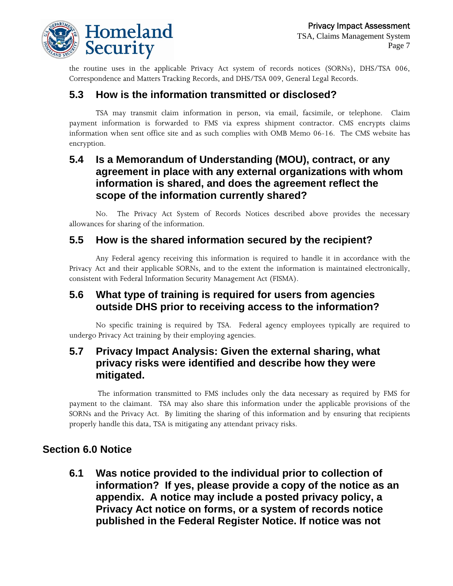

the routine uses in the applicable Privacy Act system of records notices (SORNs), DHS/TSA 006, Correspondence and Matters Tracking Records, and DHS/TSA 009, General Legal Records.

## **5.3 How is the information transmitted or disclosed?**

TSA may transmit claim information in person, via email, facsimile, or telephone. Claim payment information is forwarded to FMS via express shipment contractor. CMS encrypts claims information when sent office site and as such complies with OMB Memo 06-16. The CMS website has encryption.

#### **5.4 Is a Memorandum of Understanding (MOU), contract, or any agreement in place with any external organizations with whom information is shared, and does the agreement reflect the scope of the information currently shared?**

No. The Privacy Act System of Records Notices described above provides the necessary allowances for sharing of the information.

#### **5.5 How is the shared information secured by the recipient?**

Any Federal agency receiving this information is required to handle it in accordance with the Privacy Act and their applicable SORNs, and to the extent the information is maintained electronically, consistent with Federal Information Security Management Act (FISMA).

#### **5.6 What type of training is required for users from agencies outside DHS prior to receiving access to the information?**

No specific training is required by TSA. Federal agency employees typically are required to undergo Privacy Act training by their employing agencies.

#### **5.7 Privacy Impact Analysis: Given the external sharing, what privacy risks were identified and describe how they were mitigated.**

The information transmitted to FMS includes only the data necessary as required by FMS for payment to the claimant. TSA may also share this information under the applicable provisions of the SORNs and the Privacy Act. By limiting the sharing of this information and by ensuring that recipients properly handle this data, TSA is mitigating any attendant privacy risks.

#### **Section 6.0 Notice**

**6.1 Was notice provided to the individual prior to collection of information? If yes, please provide a copy of the notice as an appendix. A notice may include a posted privacy policy, a Privacy Act notice on forms, or a system of records notice published in the Federal Register Notice. If notice was not**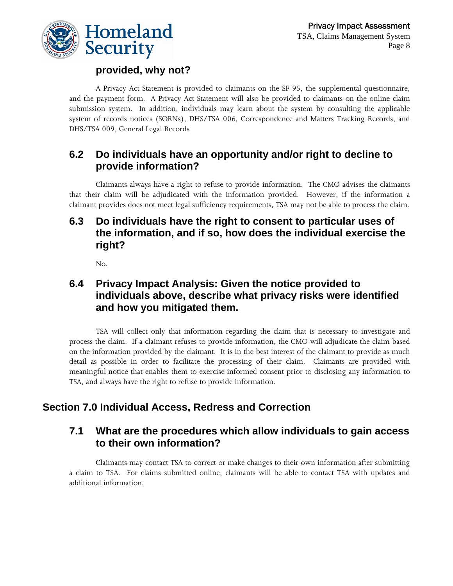

## **provided, why not?**

A Privacy Act Statement is provided to claimants on the SF 95, the supplemental questionnaire, and the payment form. A Privacy Act Statement will also be provided to claimants on the online claim submission system. In addition, individuals may learn about the system by consulting the applicable system of records notices (SORNs), DHS/TSA 006, Correspondence and Matters Tracking Records, and DHS/TSA 009, General Legal Records

## **6.2 Do individuals have an opportunity and/or right to decline to provide information?**

Claimants always have a right to refuse to provide information. The CMO advises the claimants that their claim will be adjudicated with the information provided. However, if the information a claimant provides does not meet legal sufficiency requirements, TSA may not be able to process the claim.

#### **6.3 Do individuals have the right to consent to particular uses of the information, and if so, how does the individual exercise the right?**

No.

#### **6.4 Privacy Impact Analysis: Given the notice provided to individuals above, describe what privacy risks were identified and how you mitigated them.**

TSA will collect only that information regarding the claim that is necessary to investigate and process the claim. If a claimant refuses to provide information, the CMO will adjudicate the claim based on the information provided by the claimant. It is in the best interest of the claimant to provide as much detail as possible in order to facilitate the processing of their claim. Claimants are provided with meaningful notice that enables them to exercise informed consent prior to disclosing any information to TSA, and always have the right to refuse to provide information.

## **Section 7.0 Individual Access, Redress and Correction**

#### **7.1 What are the procedures which allow individuals to gain access to their own information?**

Claimants may contact TSA to correct or make changes to their own information after submitting a claim to TSA. For claims submitted online, claimants will be able to contact TSA with updates and additional information.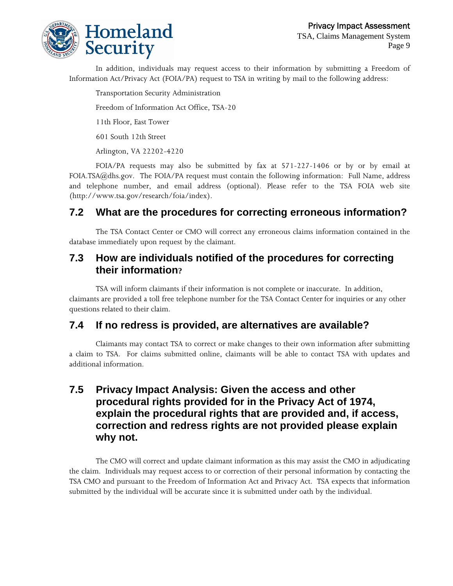

In addition, individuals may request access to their information by submitting a Freedom of Information Act/Privacy Act (FOIA/PA) request to TSA in writing by mail to the following address:

Transportation Security Administration Freedom of Information Act Office, TSA-20 11th Floor, East Tower 601 South 12th Street Arlington, VA 22202-4220

FOIA/PA requests may also be submitted by fax at 571-227-1406 or by or by email at FOIA.TSA@dhs.gov. The FOIA/PA request must contain the following information: Full Name, address and telephone number, and email address (optional). Please refer to the TSA FOIA web site ([http://www.tsa.gov/r](http://www.tsa.gov/public)esearch/foia/index).

## **7.2 What are the procedures for correcting erroneous information?**

The TSA Contact Center or CMO will correct any erroneous claims information contained in the database immediately upon request by the claimant.

#### **7.3 How are individuals notified of the procedures for correcting their information?**

TSA will inform claimants if their information is not complete or inaccurate. In addition, claimants are provided a toll free telephone number for the TSA Contact Center for inquiries or any other questions related to their claim.

#### **7.4 If no redress is provided, are alternatives are available?**

Claimants may contact TSA to correct or make changes to their own information after submitting a claim to TSA. For claims submitted online, claimants will be able to contact TSA with updates and additional information.

#### **7.5 Privacy Impact Analysis: Given the access and other procedural rights provided for in the Privacy Act of 1974, explain the procedural rights that are provided and, if access, correction and redress rights are not provided please explain why not.**

The CMO will correct and update claimant information as this may assist the CMO in adjudicating the claim. Individuals may request access to or correction of their personal information by contacting the TSA CMO and pursuant to the Freedom of Information Act and Privacy Act. TSA expects that information submitted by the individual will be accurate since it is submitted under oath by the individual.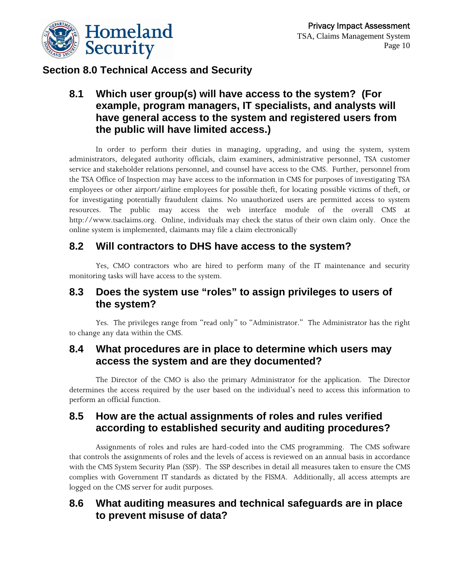

## **Section 8.0 Technical Access and Security**

#### **8.1 Which user group(s) will have access to the system? (For example, program managers, IT specialists, and analysts will have general access to the system and registered users from the public will have limited access.)**

In order to perform their duties in managing, upgrading, and using the system, system administrators, delegated authority officials, claim examiners, administrative personnel, TSA customer service and stakeholder relations personnel, and counsel have access to the CMS. Further, personnel from the TSA Office of Inspection may have access to the information in CMS for purposes of investigating TSA employees or other airport/airline employees for possible theft, for locating possible victims of theft, or for investigating potentially fraudulent claims. No unauthorized users are permitted access to system resources. The public may access the web interface module of the overall CMS at http://www.tsaclaims.org. Online, individuals may check the status of their own claim only. Once the online system is implemented, claimants may file a claim electronically

#### **8.2 Will contractors to DHS have access to the system?**

Yes, CMO contractors who are hired to perform many of the IT maintenance and security monitoring tasks will have access to the system.

## **8.3 Does the system use "roles" to assign privileges to users of the system?**

Yes. The privileges range from "read only" to "Administrator." The Administrator has the right to change any data within the CMS.

#### **8.4 What procedures are in place to determine which users may access the system and are they documented?**

The Director of the CMO is also the primary Administrator for the application. The Director determines the access required by the user based on the individual's need to access this information to perform an official function.

#### **8.5 How are the actual assignments of roles and rules verified according to established security and auditing procedures?**

Assignments of roles and rules are hard-coded into the CMS programming. The CMS software that controls the assignments of roles and the levels of access is reviewed on an annual basis in accordance with the CMS System Security Plan (SSP). The SSP describes in detail all measures taken to ensure the CMS complies with Government IT standards as dictated by the FISMA. Additionally, all access attempts are logged on the CMS server for audit purposes.

#### **8.6 What auditing measures and technical safeguards are in place to prevent misuse of data?**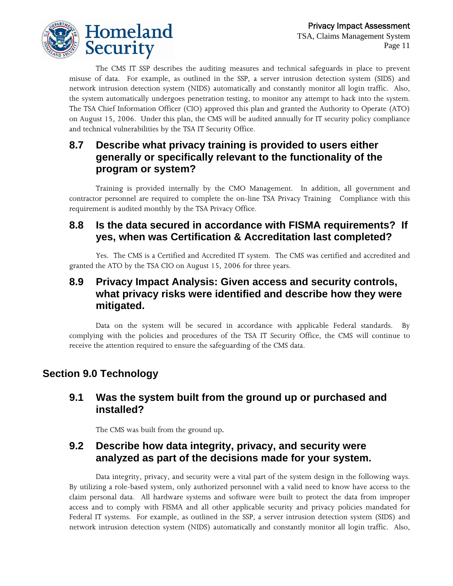

The CMS IT SSP describes the auditing measures and technical safeguards in place to prevent misuse of data. For example, as outlined in the SSP, a server intrusion detection system (SIDS) and network intrusion detection system (NIDS) automatically and constantly monitor all login traffic. Also, the system automatically undergoes penetration testing, to monitor any attempt to hack into the system. The TSA Chief Information Officer (CIO) approved this plan and granted the Authority to Operate (ATO) on August 15, 2006. Under this plan, the CMS will be audited annually for IT security policy compliance and technical vulnerabilities by the TSA IT Security Office.

## **8.7 Describe what privacy training is provided to users either generally or specifically relevant to the functionality of the program or system?**

Training is provided internally by the CMO Management. In addition, all government and contractor personnel are required to complete the on-line TSA Privacy Training Compliance with this requirement is audited monthly by the TSA Privacy Office.

#### **8.8 Is the data secured in accordance with FISMA requirements? If yes, when was Certification & Accreditation last completed?**

Yes. The CMS is a Certified and Accredited IT system. The CMS was certified and accredited and granted the ATO by the TSA CIO on August 15, 2006 for three years.

#### **8.9 Privacy Impact Analysis: Given access and security controls, what privacy risks were identified and describe how they were mitigated.**

Data on the system will be secured in accordance with applicable Federal standards. By complying with the policies and procedures of the TSA IT Security Office, the CMS will continue to receive the attention required to ensure the safeguarding of the CMS data.

## **Section 9.0 Technology**

#### **9.1 Was the system built from the ground up or purchased and installed?**

The CMS was built from the ground up.

#### **9.2 Describe how data integrity, privacy, and security were analyzed as part of the decisions made for your system.**

Data integrity, privacy, and security were a vital part of the system design in the following ways. By utilizing a role-based system, only authorized personnel with a valid need to know have access to the claim personal data. All hardware systems and software were built to protect the data from improper access and to comply with FISMA and all other applicable security and privacy policies mandated for Federal IT systems. For example, as outlined in the SSP, a server intrusion detection system (SIDS) and network intrusion detection system (NIDS) automatically and constantly monitor all login traffic. Also,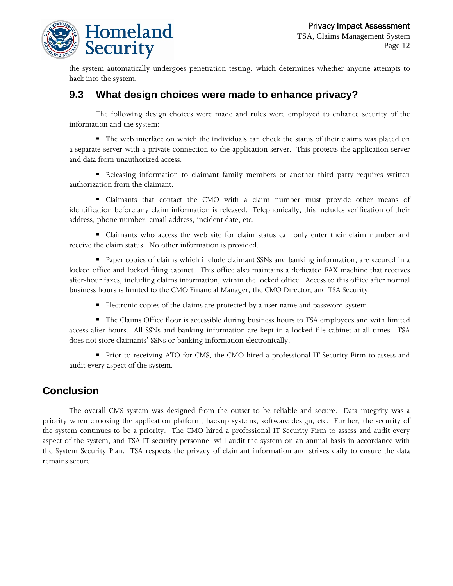

the system automatically undergoes penetration testing, which determines whether anyone attempts to hack into the system.

#### **9.3 What design choices were made to enhance privacy?**

The following design choices were made and rules were employed to enhance security of the information and the system:

 The web interface on which the individuals can check the status of their claims was placed on a separate server with a private connection to the application server. This protects the application server and data from unauthorized access.

 Releasing information to claimant family members or another third party requires written authorization from the claimant.

 Claimants that contact the CMO with a claim number must provide other means of identification before any claim information is released. Telephonically, this includes verification of their address, phone number, email address, incident date, etc.

 Claimants who access the web site for claim status can only enter their claim number and receive the claim status. No other information is provided.

 Paper copies of claims which include claimant SSNs and banking information, are secured in a locked office and locked filing cabinet. This office also maintains a dedicated FAX machine that receives after-hour faxes, including claims information, within the locked office. Access to this office after normal business hours is limited to the CMO Financial Manager, the CMO Director, and TSA Security.

Electronic copies of the claims are protected by a user name and password system.

 The Claims Office floor is accessible during business hours to TSA employees and with limited access after hours. All SSNs and banking information are kept in a locked file cabinet at all times. TSA does not store claimants' SSNs or banking information electronically.

 Prior to receiving ATO for CMS, the CMO hired a professional IT Security Firm to assess and audit every aspect of the system.

#### **Conclusion**

The overall CMS system was designed from the outset to be reliable and secure. Data integrity was a priority when choosing the application platform, backup systems, software design, etc. Further, the security of the system continues to be a priority. The CMO hired a professional IT Security Firm to assess and audit every aspect of the system, and TSA IT security personnel will audit the system on an annual basis in accordance with the System Security Plan. TSA respects the privacy of claimant information and strives daily to ensure the data remains secure.